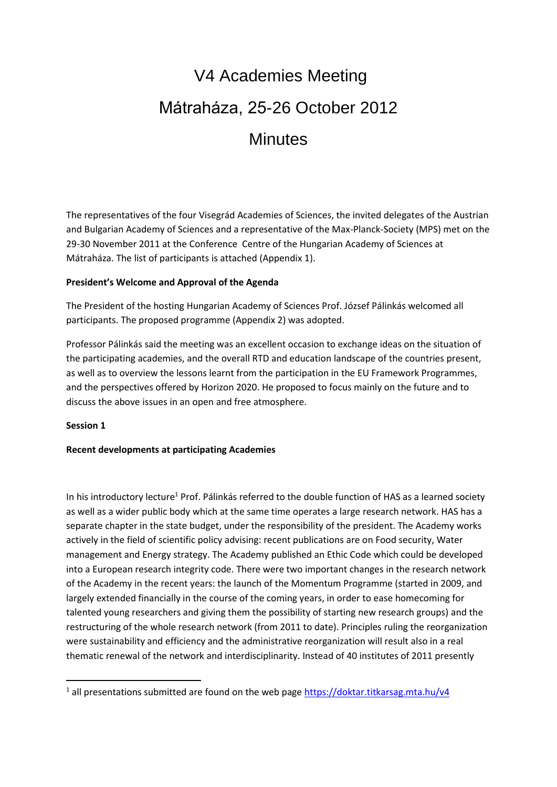# V4 Academies Meeting Mátraháza, 25-26 October 2012 **Minutes**

The representatives of the four Visegrád Academies of Sciences, the invited delegates of the Austrian and Bulgarian Academy of Sciences and a representative of the Max-Planck-Society (MPS) met on the 29-30 November 2011 at the Conference Centre of the Hungarian Academy of Sciences at Mátraháza. The list of participants is attached (Appendix 1).

### **President's Welcome and Approval of the Agenda**

The President of the hosting Hungarian Academy of Sciences Prof. József Pálinkás welcomed all participants. The proposed programme (Appendix 2) was adopted.

Professor Pálinkás said the meeting was an excellent occasion to exchange ideas on the situation of the participating academies, and the overall RTD and education landscape of the countries present, as well as to overview the lessons learnt from the participation in the EU Framework Programmes, and the perspectives offered by Horizon 2020. He proposed to focus mainly on the future and to discuss the above issues in an open and free atmosphere.

#### **Session 1**

**.** 

#### **Recent developments at participating Academies**

In his introductory lecture<sup>1</sup> Prof. Pálinkás referred to the double function of HAS as a learned society as well as a wider public body which at the same time operates a large research network. HAS has a separate chapter in the state budget, under the responsibility of the president. The Academy works actively in the field of scientific policy advising: recent publications are on Food security, Water management and Energy strategy. The Academy published an Ethic Code which could be developed into a European research integrity code. There were two important changes in the research network of the Academy in the recent years: the launch of the Momentum Programme (started in 2009, and largely extended financially in the course of the coming years, in order to ease homecoming for talented young researchers and giving them the possibility of starting new research groups) and the restructuring of the whole research network (from 2011 to date). Principles ruling the reorganization were sustainability and efficiency and the administrative reorganization will result also in a real thematic renewal of the network and interdisciplinarity. Instead of 40 institutes of 2011 presently

 $1$  all presentations submitted are found on the web page<https://doktar.titkarsag.mta.hu/v4>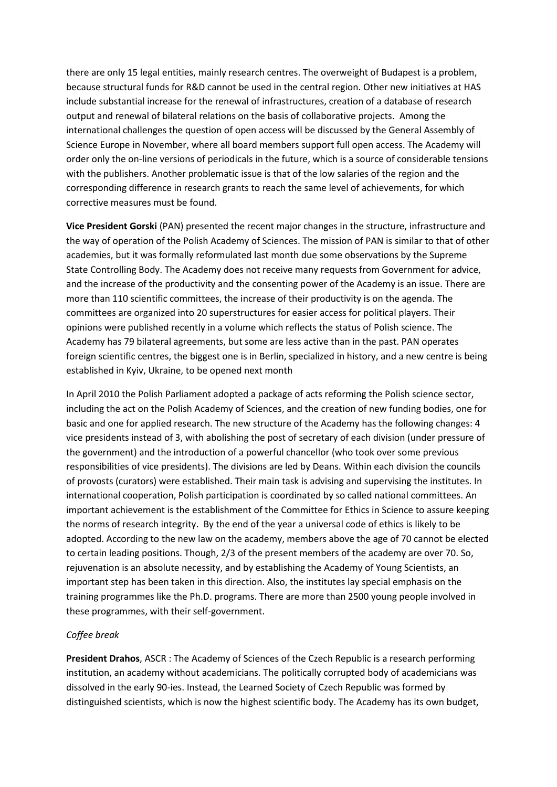there are only 15 legal entities, mainly research centres. The overweight of Budapest is a problem, because structural funds for R&D cannot be used in the central region. Other new initiatives at HAS include substantial increase for the renewal of infrastructures, creation of a database of research output and renewal of bilateral relations on the basis of collaborative projects. Among the international challenges the question of open access will be discussed by the General Assembly of Science Europe in November, where all board members support full open access. The Academy will order only the on-line versions of periodicals in the future, which is a source of considerable tensions with the publishers. Another problematic issue is that of the low salaries of the region and the corresponding difference in research grants to reach the same level of achievements, for which corrective measures must be found.

**Vice President Gorski** (PAN) presented the recent major changes in the structure, infrastructure and the way of operation of the Polish Academy of Sciences. The mission of PAN is similar to that of other academies, but it was formally reformulated last month due some observations by the Supreme State Controlling Body. The Academy does not receive many requests from Government for advice, and the increase of the productivity and the consenting power of the Academy is an issue. There are more than 110 scientific committees, the increase of their productivity is on the agenda. The committees are organized into 20 superstructures for easier access for political players. Their opinions were published recently in a volume which reflects the status of Polish science. The Academy has 79 bilateral agreements, but some are less active than in the past. PAN operates foreign scientific centres, the biggest one is in Berlin, specialized in history, and a new centre is being established in Kyiv, Ukraine, to be opened next month

In April 2010 the Polish Parliament adopted a package of acts reforming the Polish science sector, including the act on the Polish Academy of Sciences, and the creation of new funding bodies, one for basic and one for applied research. The new structure of the Academy has the following changes: 4 vice presidents instead of 3, with abolishing the post of secretary of each division (under pressure of the government) and the introduction of a powerful chancellor (who took over some previous responsibilities of vice presidents). The divisions are led by Deans. Within each division the councils of provosts (curators) were established. Their main task is advising and supervising the institutes. In international cooperation, Polish participation is coordinated by so called national committees. An important achievement is the establishment of the Committee for Ethics in Science to assure keeping the norms of research integrity. By the end of the year a universal code of ethics is likely to be adopted. According to the new law on the academy, members above the age of 70 cannot be elected to certain leading positions. Though, 2/3 of the present members of the academy are over 70. So, rejuvenation is an absolute necessity, and by establishing the Academy of Young Scientists, an important step has been taken in this direction. Also, the institutes lay special emphasis on the training programmes like the Ph.D. programs. There are more than 2500 young people involved in these programmes, with their self-government.

#### *Coffee break*

**President Drahos**, ASCR : The Academy of Sciences of the Czech Republic is a research performing institution, an academy without academicians. The politically corrupted body of academicians was dissolved in the early 90-ies. Instead, the Learned Society of Czech Republic was formed by distinguished scientists, which is now the highest scientific body. The Academy has its own budget,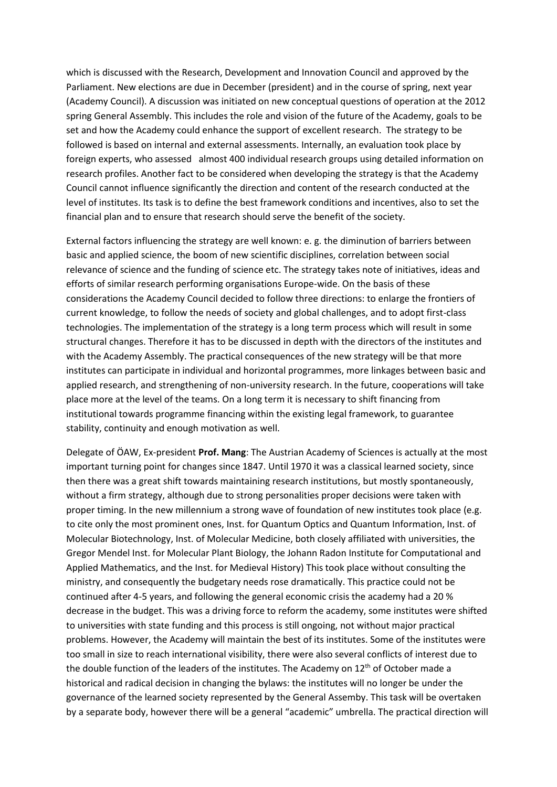which is discussed with the Research, Development and Innovation Council and approved by the Parliament. New elections are due in December (president) and in the course of spring, next year (Academy Council). A discussion was initiated on new conceptual questions of operation at the 2012 spring General Assembly. This includes the role and vision of the future of the Academy, goals to be set and how the Academy could enhance the support of excellent research. The strategy to be followed is based on internal and external assessments. Internally, an evaluation took place by foreign experts, who assessed almost 400 individual research groups using detailed information on research profiles. Another fact to be considered when developing the strategy is that the Academy Council cannot influence significantly the direction and content of the research conducted at the level of institutes. Its task is to define the best framework conditions and incentives, also to set the financial plan and to ensure that research should serve the benefit of the society.

External factors influencing the strategy are well known: e. g. the diminution of barriers between basic and applied science, the boom of new scientific disciplines, correlation between social relevance of science and the funding of science etc. The strategy takes note of initiatives, ideas and efforts of similar research performing organisations Europe-wide. On the basis of these considerations the Academy Council decided to follow three directions: to enlarge the frontiers of current knowledge, to follow the needs of society and global challenges, and to adopt first-class technologies. The implementation of the strategy is a long term process which will result in some structural changes. Therefore it has to be discussed in depth with the directors of the institutes and with the Academy Assembly. The practical consequences of the new strategy will be that more institutes can participate in individual and horizontal programmes, more linkages between basic and applied research, and strengthening of non-university research. In the future, cooperations will take place more at the level of the teams. On a long term it is necessary to shift financing from institutional towards programme financing within the existing legal framework, to guarantee stability, continuity and enough motivation as well.

Delegate of ÖAW, Ex-president **Prof. Mang**: The Austrian Academy of Sciences is actually at the most important turning point for changes since 1847. Until 1970 it was a classical learned society, since then there was a great shift towards maintaining research institutions, but mostly spontaneously, without a firm strategy, although due to strong personalities proper decisions were taken with proper timing. In the new millennium a strong wave of foundation of new institutes took place (e.g. to cite only the most prominent ones, Inst. for Quantum Optics and Quantum Information, Inst. of Molecular Biotechnology, Inst. of Molecular Medicine, both closely affiliated with universities, the Gregor Mendel Inst. for Molecular Plant Biology, the Johann Radon Institute for Computational and Applied Mathematics, and the Inst. for Medieval History) This took place without consulting the ministry, and consequently the budgetary needs rose dramatically. This practice could not be continued after 4-5 years, and following the general economic crisis the academy had a 20 % decrease in the budget. This was a driving force to reform the academy, some institutes were shifted to universities with state funding and this process is still ongoing, not without major practical problems. However, the Academy will maintain the best of its institutes. Some of the institutes were too small in size to reach international visibility, there were also several conflicts of interest due to the double function of the leaders of the institutes. The Academy on 12<sup>th</sup> of October made a historical and radical decision in changing the bylaws: the institutes will no longer be under the governance of the learned society represented by the General Assemby. This task will be overtaken by a separate body, however there will be a general "academic" umbrella. The practical direction will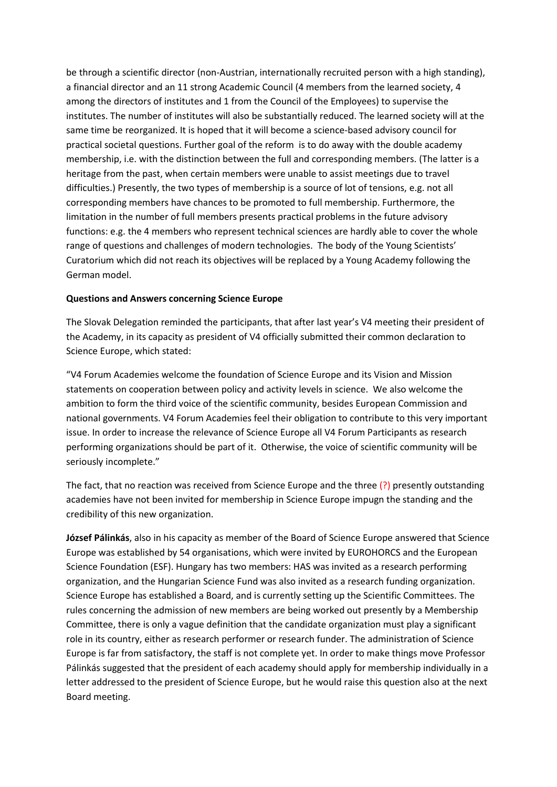be through a scientific director (non-Austrian, internationally recruited person with a high standing), a financial director and an 11 strong Academic Council (4 members from the learned society, 4 among the directors of institutes and 1 from the Council of the Employees) to supervise the institutes. The number of institutes will also be substantially reduced. The learned society will at the same time be reorganized. It is hoped that it will become a science-based advisory council for practical societal questions. Further goal of the reform is to do away with the double academy membership, i.e. with the distinction between the full and corresponding members. (The latter is a heritage from the past, when certain members were unable to assist meetings due to travel difficulties.) Presently, the two types of membership is a source of lot of tensions, e.g. not all corresponding members have chances to be promoted to full membership. Furthermore, the limitation in the number of full members presents practical problems in the future advisory functions: e.g. the 4 members who represent technical sciences are hardly able to cover the whole range of questions and challenges of modern technologies. The body of the Young Scientists' Curatorium which did not reach its objectives will be replaced by a Young Academy following the German model.

### **Questions and Answers concerning Science Europe**

The Slovak Delegation reminded the participants, that after last year's V4 meeting their president of the Academy, in its capacity as president of V4 officially submitted their common declaration to Science Europe, which stated:

"V4 Forum Academies welcome the foundation of Science Europe and its Vision and Mission statements on cooperation between policy and activity levels in science. We also welcome the ambition to form the third voice of the scientific community, besides European Commission and national governments. V4 Forum Academies feel their obligation to contribute to this very important issue. In order to increase the relevance of Science Europe all V4 Forum Participants as research performing organizations should be part of it. Otherwise, the voice of scientific community will be seriously incomplete."

The fact, that no reaction was received from Science Europe and the three (?) presently outstanding academies have not been invited for membership in Science Europe impugn the standing and the credibility of this new organization.

**József Pálinkás**, also in his capacity as member of the Board of Science Europe answered that Science Europe was established by 54 organisations, which were invited by EUROHORCS and the European Science Foundation (ESF). Hungary has two members: HAS was invited as a research performing organization, and the Hungarian Science Fund was also invited as a research funding organization. Science Europe has established a Board, and is currently setting up the Scientific Committees. The rules concerning the admission of new members are being worked out presently by a Membership Committee, there is only a vague definition that the candidate organization must play a significant role in its country, either as research performer or research funder. The administration of Science Europe is far from satisfactory, the staff is not complete yet. In order to make things move Professor Pálinkás suggested that the president of each academy should apply for membership individually in a letter addressed to the president of Science Europe, but he would raise this question also at the next Board meeting.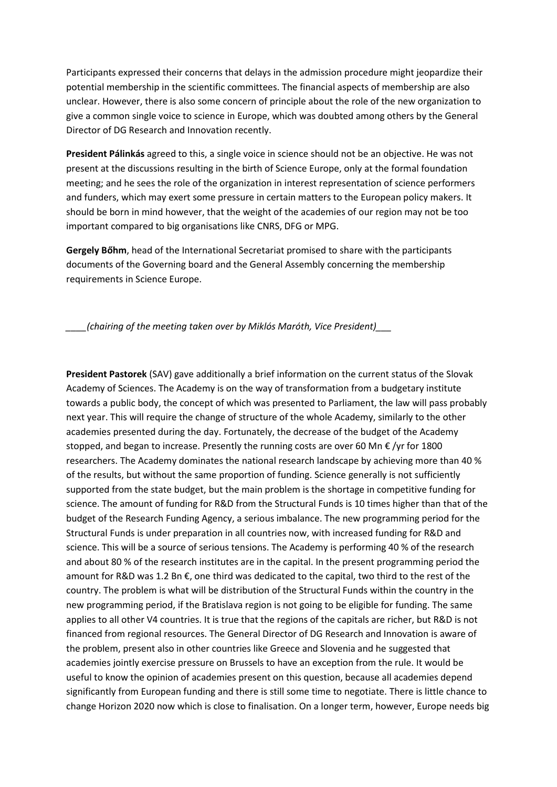Participants expressed their concerns that delays in the admission procedure might jeopardize their potential membership in the scientific committees. The financial aspects of membership are also unclear. However, there is also some concern of principle about the role of the new organization to give a common single voice to science in Europe, which was doubted among others by the General Director of DG Research and Innovation recently.

**President Pálinkás** agreed to this, a single voice in science should not be an objective. He was not present at the discussions resulting in the birth of Science Europe, only at the formal foundation meeting; and he sees the role of the organization in interest representation of science performers and funders, which may exert some pressure in certain matters to the European policy makers. It should be born in mind however, that the weight of the academies of our region may not be too important compared to big organisations like CNRS, DFG or MPG.

**Gergely Bőhm**, head of the International Secretariat promised to share with the participants documents of the Governing board and the General Assembly concerning the membership requirements in Science Europe.

*\_\_\_\_(chairing of the meeting taken over by Miklós Maróth, Vice President)\_\_\_*

**President Pastorek** (SAV) gave additionally a brief information on the current status of the Slovak Academy of Sciences. The Academy is on the way of transformation from a budgetary institute towards a public body, the concept of which was presented to Parliament, the law will pass probably next year. This will require the change of structure of the whole Academy, similarly to the other academies presented during the day. Fortunately, the decrease of the budget of the Academy stopped, and began to increase. Presently the running costs are over 60 Mn € /yr for 1800 researchers. The Academy dominates the national research landscape by achieving more than 40 % of the results, but without the same proportion of funding. Science generally is not sufficiently supported from the state budget, but the main problem is the shortage in competitive funding for science. The amount of funding for R&D from the Structural Funds is 10 times higher than that of the budget of the Research Funding Agency, a serious imbalance. The new programming period for the Structural Funds is under preparation in all countries now, with increased funding for R&D and science. This will be a source of serious tensions. The Academy is performing 40 % of the research and about 80 % of the research institutes are in the capital. In the present programming period the amount for R&D was 1.2 Bn €, one third was dedicated to the capital, two third to the rest of the country. The problem is what will be distribution of the Structural Funds within the country in the new programming period, if the Bratislava region is not going to be eligible for funding. The same applies to all other V4 countries. It is true that the regions of the capitals are richer, but R&D is not financed from regional resources. The General Director of DG Research and Innovation is aware of the problem, present also in other countries like Greece and Slovenia and he suggested that academies jointly exercise pressure on Brussels to have an exception from the rule. It would be useful to know the opinion of academies present on this question, because all academies depend significantly from European funding and there is still some time to negotiate. There is little chance to change Horizon 2020 now which is close to finalisation. On a longer term, however, Europe needs big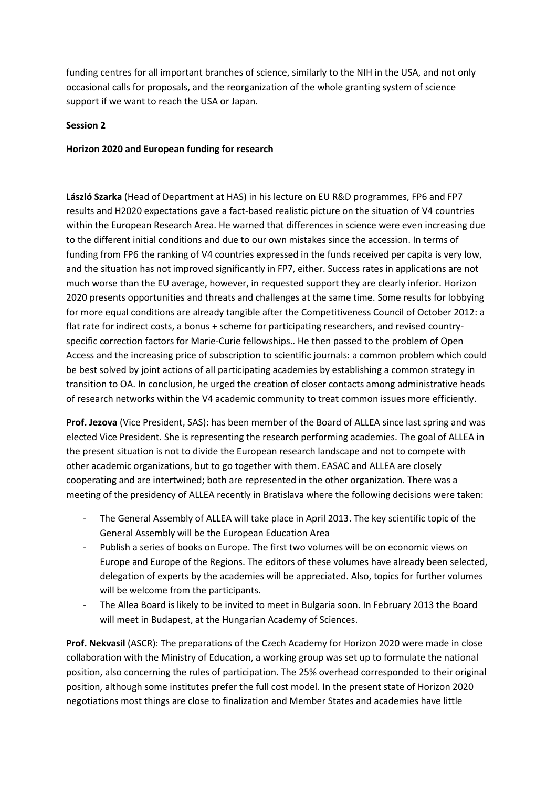funding centres for all important branches of science, similarly to the NIH in the USA, and not only occasional calls for proposals, and the reorganization of the whole granting system of science support if we want to reach the USA or Japan.

## **Session 2**

## **Horizon 2020 and European funding for research**

**László Szarka** (Head of Department at HAS) in his lecture on EU R&D programmes, FP6 and FP7 results and H2020 expectations gave a fact-based realistic picture on the situation of V4 countries within the European Research Area. He warned that differences in science were even increasing due to the different initial conditions and due to our own mistakes since the accession. In terms of funding from FP6 the ranking of V4 countries expressed in the funds received per capita is very low, and the situation has not improved significantly in FP7, either. Success rates in applications are not much worse than the EU average, however, in requested support they are clearly inferior. Horizon 2020 presents opportunities and threats and challenges at the same time. Some results for lobbying for more equal conditions are already tangible after the Competitiveness Council of October 2012: a flat rate for indirect costs, a bonus + scheme for participating researchers, and revised countryspecific correction factors for Marie-Curie fellowships.. He then passed to the problem of Open Access and the increasing price of subscription to scientific journals: a common problem which could be best solved by joint actions of all participating academies by establishing a common strategy in transition to OA. In conclusion, he urged the creation of closer contacts among administrative heads of research networks within the V4 academic community to treat common issues more efficiently.

**Prof. Jezova** (Vice President, SAS): has been member of the Board of ALLEA since last spring and was elected Vice President. She is representing the research performing academies. The goal of ALLEA in the present situation is not to divide the European research landscape and not to compete with other academic organizations, but to go together with them. EASAC and ALLEA are closely cooperating and are intertwined; both are represented in the other organization. There was a meeting of the presidency of ALLEA recently in Bratislava where the following decisions were taken:

- The General Assembly of ALLEA will take place in April 2013. The key scientific topic of the General Assembly will be the European Education Area
- Publish a series of books on Europe. The first two volumes will be on economic views on Europe and Europe of the Regions. The editors of these volumes have already been selected, delegation of experts by the academies will be appreciated. Also, topics for further volumes will be welcome from the participants.
- The Allea Board is likely to be invited to meet in Bulgaria soon. In February 2013 the Board will meet in Budapest, at the Hungarian Academy of Sciences.

**Prof. Nekvasil** (ASCR): The preparations of the Czech Academy for Horizon 2020 were made in close collaboration with the Ministry of Education, a working group was set up to formulate the national position, also concerning the rules of participation. The 25% overhead corresponded to their original position, although some institutes prefer the full cost model. In the present state of Horizon 2020 negotiations most things are close to finalization and Member States and academies have little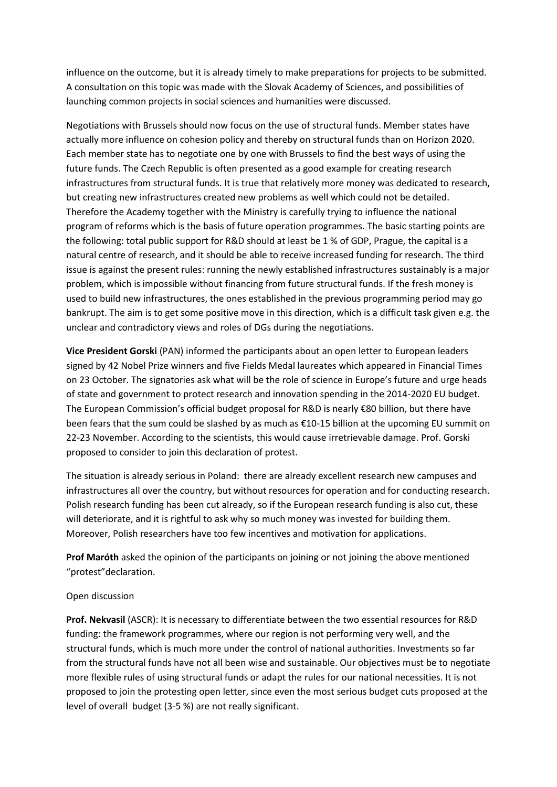influence on the outcome, but it is already timely to make preparations for projects to be submitted. A consultation on this topic was made with the Slovak Academy of Sciences, and possibilities of launching common projects in social sciences and humanities were discussed.

Negotiations with Brussels should now focus on the use of structural funds. Member states have actually more influence on cohesion policy and thereby on structural funds than on Horizon 2020. Each member state has to negotiate one by one with Brussels to find the best ways of using the future funds. The Czech Republic is often presented as a good example for creating research infrastructures from structural funds. It is true that relatively more money was dedicated to research, but creating new infrastructures created new problems as well which could not be detailed. Therefore the Academy together with the Ministry is carefully trying to influence the national program of reforms which is the basis of future operation programmes. The basic starting points are the following: total public support for R&D should at least be 1 % of GDP, Prague, the capital is a natural centre of research, and it should be able to receive increased funding for research. The third issue is against the present rules: running the newly established infrastructures sustainably is a major problem, which is impossible without financing from future structural funds. If the fresh money is used to build new infrastructures, the ones established in the previous programming period may go bankrupt. The aim is to get some positive move in this direction, which is a difficult task given e.g. the unclear and contradictory views and roles of DGs during the negotiations.

**Vice President Gorski** (PAN) informed the participants about an open letter to European leaders signed by 42 Nobel Prize winners and five Fields Medal laureates which appeared in Financial Times on 23 October. The signatories ask what will be the role of science in Europe's future and urge heads of state and government to protect research and innovation spending in the 2014-2020 EU budget. The European Commission's official budget proposal for R&D is nearly €80 billion, but there have been fears that the sum could be slashed by as much as €10-15 billion at the upcoming EU summit on 22-23 November. According to the scientists, this would cause irretrievable damage. Prof. Gorski proposed to consider to join this declaration of protest.

The situation is already serious in Poland: there are already excellent research new campuses and infrastructures all over the country, but without resources for operation and for conducting research. Polish research funding has been cut already, so if the European research funding is also cut, these will deteriorate, and it is rightful to ask why so much money was invested for building them. Moreover, Polish researchers have too few incentives and motivation for applications.

**Prof Maróth** asked the opinion of the participants on joining or not joining the above mentioned "protest"declaration.

# Open discussion

**Prof. Nekvasil** (ASCR): It is necessary to differentiate between the two essential resources for R&D funding: the framework programmes, where our region is not performing very well, and the structural funds, which is much more under the control of national authorities. Investments so far from the structural funds have not all been wise and sustainable. Our objectives must be to negotiate more flexible rules of using structural funds or adapt the rules for our national necessities. It is not proposed to join the protesting open letter, since even the most serious budget cuts proposed at the level of overall budget (3-5 %) are not really significant.